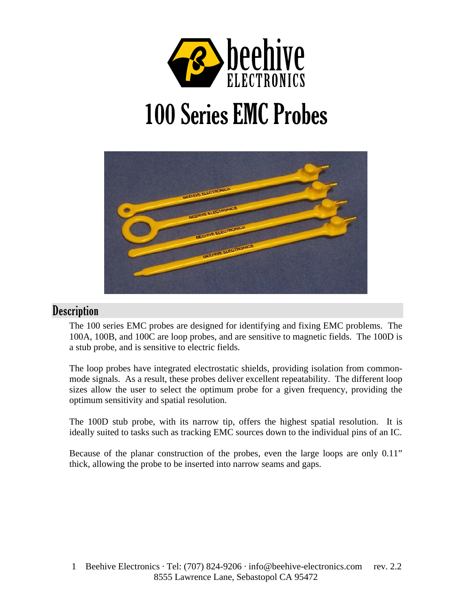

# 100 Series EMC Probes



# **Description**

The 100 series EMC probes are designed for identifying and fixing EMC problems. The 100A, 100B, and 100C are loop probes, and are sensitive to magnetic fields. The 100D is a stub probe, and is sensitive to electric fields.

The loop probes have integrated electrostatic shields, providing isolation from commonmode signals. As a result, these probes deliver excellent repeatability. The different loop sizes allow the user to select the optimum probe for a given frequency, providing the optimum sensitivity and spatial resolution.

The 100D stub probe, with its narrow tip, offers the highest spatial resolution. It is ideally suited to tasks such as tracking EMC sources down to the individual pins of an IC.

Because of the planar construction of the probes, even the large loops are only 0.11" thick, allowing the probe to be inserted into narrow seams and gaps.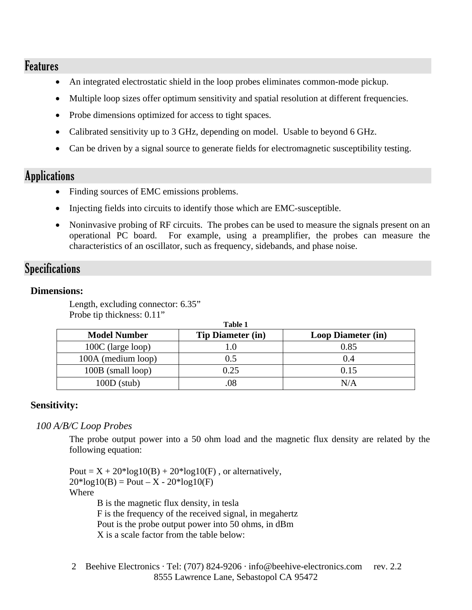## Features

- An integrated electrostatic shield in the loop probes eliminates common-mode pickup.
- Multiple loop sizes offer optimum sensitivity and spatial resolution at different frequencies.
- Probe dimensions optimized for access to tight spaces.
- Calibrated sensitivity up to 3 GHz, depending on model. Usable to beyond 6 GHz.
- Can be driven by a signal source to generate fields for electromagnetic susceptibility testing.

# Applications

- Finding sources of EMC emissions problems.
- Injecting fields into circuits to identify those which are EMC-susceptible.
- Noninvasive probing of RF circuits. The probes can be used to measure the signals present on an operational PC board. For example, using a preamplifier, the probes can measure the characteristics of an oscillator, such as frequency, sidebands, and phase noise.

# Specifications

#### **Dimensions:**

Length, excluding connector: 6.35" Probe tip thickness: 0.11"

| Table 1                  |                           |  |  |  |
|--------------------------|---------------------------|--|--|--|
| <b>Tip Diameter (in)</b> | <b>Loop Diameter (in)</b> |  |  |  |
|                          | 0.85                      |  |  |  |
| 0.5                      | 0.4                       |  |  |  |
| 0.25                     | 0.15                      |  |  |  |
| 08                       | N/A                       |  |  |  |
|                          |                           |  |  |  |

### **Sensitivity:**

*100 A/B/C Loop Probes* 

The probe output power into a 50 ohm load and the magnetic flux density are related by the following equation:

Pout =  $X + 20*log10(B) + 20*log10(F)$ , or alternatively,  $20*log10(B) =$  Pout – X -  $20*log10(F)$ Where B is the magnetic flux density, in tesla F is the frequency of the received signal, in megahertz Pout is the probe output power into 50 ohms, in dBm

X is a scale factor from the table below:

2 Beehive Electronics · Tel: (707) 824-9206 · info@beehive-electronics.com rev. 2.2 8555 Lawrence Lane, Sebastopol CA 95472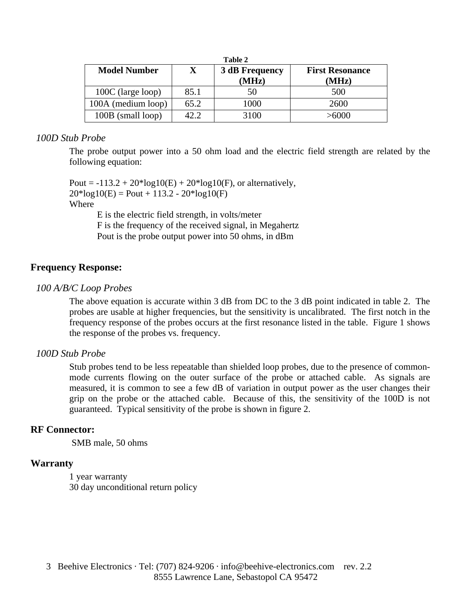| Table 2             |      |                                |                                 |
|---------------------|------|--------------------------------|---------------------------------|
| <b>Model Number</b> | X.   | <b>3 dB Frequency</b><br>(MHz) | <b>First Resonance</b><br>(MHz) |
| 100C (large loop)   | 85.1 | 50                             | 500                             |
| 100A (medium loop)  | 65.2 | 1000                           | 2600                            |
| 100B (small loop)   | 42.2 | 3100                           | >6000                           |

#### *100D Stub Probe*

The probe output power into a 50 ohm load and the electric field strength are related by the following equation:

Pout =  $-113.2 + 20*log10(E) + 20*log10(F)$ , or alternatively,  $20*log10(E) =$  Pout + 113.2 -  $20*log10(F)$ Where

 E is the electric field strength, in volts/meter F is the frequency of the received signal, in Megahertz Pout is the probe output power into 50 ohms, in dBm

#### **Frequency Response:**

#### *100 A/B/C Loop Probes*

The above equation is accurate within 3 dB from DC to the 3 dB point indicated in table 2. The probes are usable at higher frequencies, but the sensitivity is uncalibrated. The first notch in the frequency response of the probes occurs at the first resonance listed in the table. Figure 1 shows the response of the probes vs. frequency.

#### *100D Stub Probe*

Stub probes tend to be less repeatable than shielded loop probes, due to the presence of commonmode currents flowing on the outer surface of the probe or attached cable. As signals are measured, it is common to see a few dB of variation in output power as the user changes their grip on the probe or the attached cable. Because of this, the sensitivity of the 100D is not guaranteed. Typical sensitivity of the probe is shown in figure 2.

#### **RF Connector:**

SMB male, 50 ohms

#### **Warranty**

1 year warranty 30 day unconditional return policy